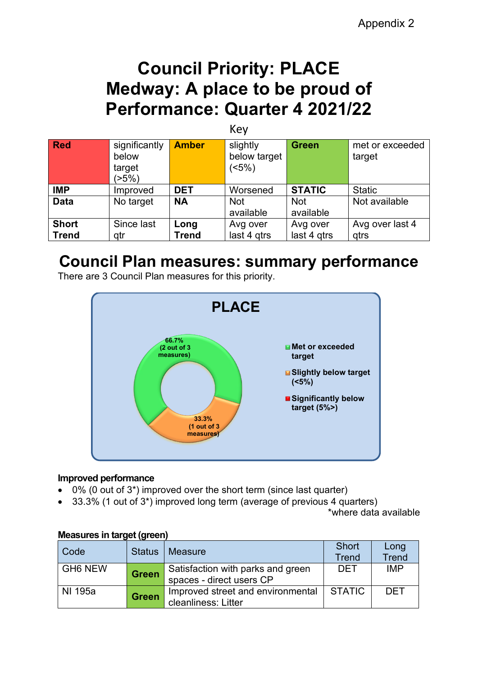# **Council Priority: PLACE Medway: A place to be proud of Performance: Quarter 4 2021/22**

|              | Key                                       |              |                                  |                         |                           |  |  |  |  |  |  |
|--------------|-------------------------------------------|--------------|----------------------------------|-------------------------|---------------------------|--|--|--|--|--|--|
| <b>Red</b>   | significantly<br>below<br>target<br>(55%) | <b>Amber</b> | slightly<br>below target<br>(5%) | <b>Green</b>            | met or exceeded<br>target |  |  |  |  |  |  |
| <b>IMP</b>   | Improved                                  | <b>DET</b>   | Worsened                         | <b>STATIC</b>           | <b>Static</b>             |  |  |  |  |  |  |
| <b>Data</b>  | No target                                 | <b>NA</b>    | <b>Not</b><br>available          | <b>Not</b><br>available | Not available             |  |  |  |  |  |  |
| <b>Short</b> | Since last                                | Long         | Avg over                         | Avg over                | Avg over last 4           |  |  |  |  |  |  |
| <b>Trend</b> | qtr                                       | <b>Trend</b> | last 4 gtrs                      | last 4 gtrs             | qtrs                      |  |  |  |  |  |  |

# **Council Plan measures: summary performance**

There are 3 Council Plan measures for this priority.



#### **Improved performance**

- 0% (0 out of 3\*) improved over the short term (since last quarter)
- 33.3% (1 out of 3\*) improved long term (average of previous 4 quarters)

\*where data available

| 1110000100111011901191011 |               |                                                               |                              |                      |
|---------------------------|---------------|---------------------------------------------------------------|------------------------------|----------------------|
| Code                      | <b>Status</b> | <b>Measure</b>                                                | <b>Short</b><br><b>Trend</b> | Long<br><b>Trend</b> |
| <b>GH6 NEW</b>            | <b>Green</b>  | Satisfaction with parks and green<br>spaces - direct users CP | DET                          | <b>IMP</b>           |
| NI 195a                   | <b>Green</b>  | Improved street and environmental<br>cleanliness: Litter      | STATIC                       | <b>DET</b>           |

#### **Measures in target (green)**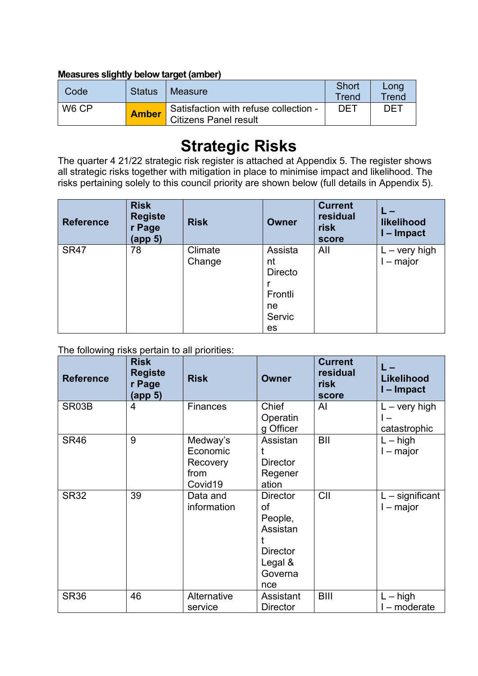### **Measures slightly below target (amber)**

| Code              | <b>Status</b> | Measure                                                               | Short<br>Trend | Long<br>Trend |
|-------------------|---------------|-----------------------------------------------------------------------|----------------|---------------|
| W <sub>6</sub> CP | <b>Amber</b>  | Satisfaction with refuse collection -<br><b>Citizens Panel result</b> | DET            | DET           |

# **Strategic Risks**

The quarter 4 21/22 strategic risk register is attached at Appendix 5. The register shows all strategic risks together with mitigation in place to minimise impact and likelihood. The risks pertaining solely to this council priority are shown below (full details in Appendix 5).

| <b>Reference</b> | <b>Risk</b><br><b>Registe</b><br>r Page<br>(app 5) | <b>Risk</b>       | <b>Owner</b>                                              | <b>Current</b><br>residual<br>risk<br>score | likelihood<br>- Impact              |
|------------------|----------------------------------------------------|-------------------|-----------------------------------------------------------|---------------------------------------------|-------------------------------------|
| <b>SR47</b>      | 78                                                 | Climate<br>Change | Assista<br>nt<br>Directo<br>Frontli<br>ne<br>Servic<br>es | All                                         | $L - \text{very high}$<br>$-$ major |

The following risks pertain to all priorities:

| <b>Reference</b> | <b>Risk</b><br><b>Registe</b><br>r Page<br><u>(app 5)</u> | <b>Risk</b>                                         | <b>Owner</b>                                                                                 | <b>Current</b><br>residual<br>risk<br>score | Likelihood<br>I-Impact                 |
|------------------|-----------------------------------------------------------|-----------------------------------------------------|----------------------------------------------------------------------------------------------|---------------------------------------------|----------------------------------------|
| SR03B            | 4                                                         | <b>Finances</b>                                     | Chief<br>Operatin<br>g Officer                                                               | Al                                          | $L - \text{very high}$<br>catastrophic |
| <b>SR46</b>      | 9                                                         | Medway's<br>Economic<br>Recovery<br>from<br>Covid19 | Assistan<br><b>Director</b><br>Regener<br>ation                                              | BII                                         | $L - high$<br>$I - major$              |
| <b>SR32</b>      | 39                                                        | Data and<br>information                             | <b>Director</b><br>of<br>People,<br>Assistan<br><b>Director</b><br>Legal &<br>Governa<br>nce | CII                                         | $L$ – significant<br>I – major         |
| <b>SR36</b>      | 46                                                        | Alternative<br>service                              | Assistant<br><b>Director</b>                                                                 | <b>BIII</b>                                 | $L - high$<br>l – moderate             |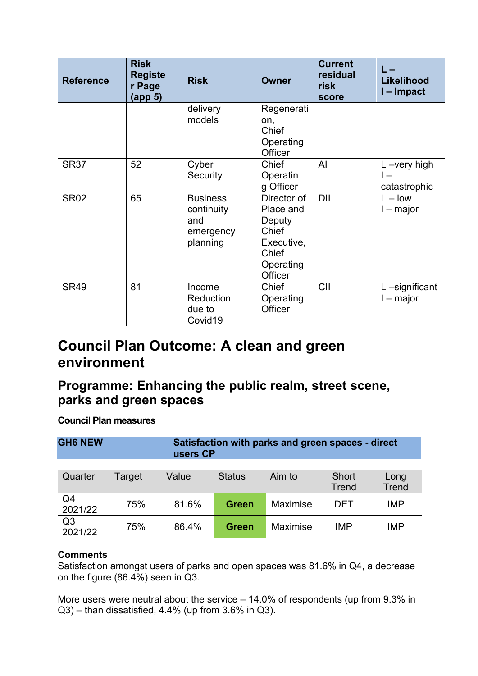| <b>Reference</b> | <b>Risk</b><br><b>Registe</b><br>r Page<br>(app 5) | <b>Risk</b>                                                   | <b>Owner</b>                                                                               | <b>Current</b><br>residual<br>risk<br>score | Likelihood<br>l – Impact       |  |  |  |
|------------------|----------------------------------------------------|---------------------------------------------------------------|--------------------------------------------------------------------------------------------|---------------------------------------------|--------------------------------|--|--|--|
|                  |                                                    | delivery<br>models                                            | Regenerati<br>on,<br>Chief<br>Operating<br>Officer                                         |                                             |                                |  |  |  |
| <b>SR37</b>      | 52                                                 | Cyber<br>Security                                             | Chief<br>Operatin<br>g Officer                                                             | AI                                          | $L$ -very high<br>catastrophic |  |  |  |
| <b>SR02</b>      | 65                                                 | <b>Business</b><br>continuity<br>and<br>emergency<br>planning | Director of<br>Place and<br>Deputy<br>Chief<br>Executive,<br>Chief<br>Operating<br>Officer | DII                                         | $L - low$<br>$I - major$       |  |  |  |
| <b>SR49</b>      | 81                                                 | Income<br><b>Reduction</b><br>due to<br>Covid19               | Chief<br>Operating<br>Officer                                                              | CII                                         | L-significant<br>$-$ major     |  |  |  |

## **Council Plan Outcome: A clean and green environment**

## **Programme: Enhancing the public realm, street scene, parks and green spaces**

**Council Plan measures**

| <b>GH6 NEW</b>            |        | Satisfaction with parks and green spaces - direct<br>users CP |               |          |                |                      |  |  |  |  |  |  |  |
|---------------------------|--------|---------------------------------------------------------------|---------------|----------|----------------|----------------------|--|--|--|--|--|--|--|
| Quarter                   | Target | Value                                                         | <b>Status</b> | Aim to   | Short<br>Trend | Long<br><b>Trend</b> |  |  |  |  |  |  |  |
| Q4<br>2021/22             | 75%    | 81.6%                                                         | <b>Green</b>  | Maximise | <b>DET</b>     | <b>IMP</b>           |  |  |  |  |  |  |  |
| Q <sub>3</sub><br>2021/22 | 75%    | 86.4%                                                         | <b>Green</b>  | Maximise | <b>IMP</b>     | <b>IMP</b>           |  |  |  |  |  |  |  |

### **Comments**

Satisfaction amongst users of parks and open spaces was 81.6% in Q4, a decrease on the figure  $(86.4\%)$  seen in Q3.

More users were neutral about the service – 14.0% of respondents (up from 9.3% in Q3) – than dissatisfied, 4.4% (up from 3.6% in Q3).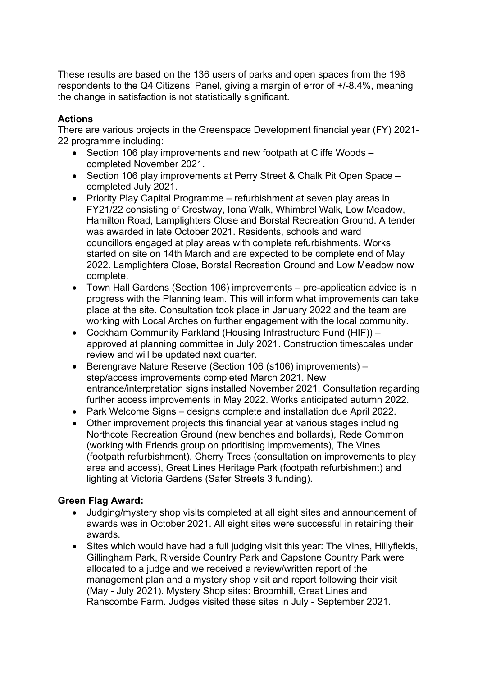These results are based on the 136 users of parks and open spaces from the 198 respondents to the Q4 Citizens' Panel, giving a margin of error of +/-8.4%, meaning the change in satisfaction is not statistically significant.

### **Actions**

There are various projects in the Greenspace Development financial year (FY) 2021- 22 programme including:

- Section 106 play improvements and new footpath at Cliffe Woods completed November 2021.
- Section 106 play improvements at Perry Street & Chalk Pit Open Space completed July 2021.
- Priority Play Capital Programme refurbishment at seven play areas in FY21/22 consisting of Crestway, Iona Walk, Whimbrel Walk, Low Meadow, Hamilton Road, Lamplighters Close and Borstal Recreation Ground. A tender was awarded in late October 2021. Residents, schools and ward councillors engaged at play areas with complete refurbishments. Works started on site on 14th March and are expected to be complete end of May 2022. Lamplighters Close, Borstal Recreation Ground and Low Meadow now complete.
- Town Hall Gardens (Section 106) improvements pre-application advice is in progress with the Planning team. This will inform what improvements can take place at the site. Consultation took place in January 2022 and the team are working with Local Arches on further engagement with the local community.
- Cockham Community Parkland (Housing Infrastructure Fund (HIF)) approved at planning committee in July 2021. Construction timescales under review and will be updated next quarter.
- Berengrave Nature Reserve (Section 106 (s106) improvements) step/access improvements completed March 2021. New entrance/interpretation signs installed November 2021. Consultation regarding further access improvements in May 2022. Works anticipated autumn 2022.
- Park Welcome Signs designs complete and installation due April 2022.
- Other improvement projects this financial year at various stages including Northcote Recreation Ground (new benches and bollards), Rede Common (working with Friends group on prioritising improvements), The Vines (footpath refurbishment), Cherry Trees (consultation on improvements to play area and access), Great Lines Heritage Park (footpath refurbishment) and lighting at Victoria Gardens (Safer Streets 3 funding).

### **Green Flag Award:**

- Judging/mystery shop visits completed at all eight sites and announcement of awards was in October 2021. All eight sites were successful in retaining their awards.
- Sites which would have had a full judging visit this year: The Vines, Hillyfields, Gillingham Park, Riverside Country Park and Capstone Country Park were allocated to a judge and we received a review/written report of the management plan and a mystery shop visit and report following their visit (May - July 2021). Mystery Shop sites: Broomhill, Great Lines and Ranscombe Farm. Judges visited these sites in July - September 2021.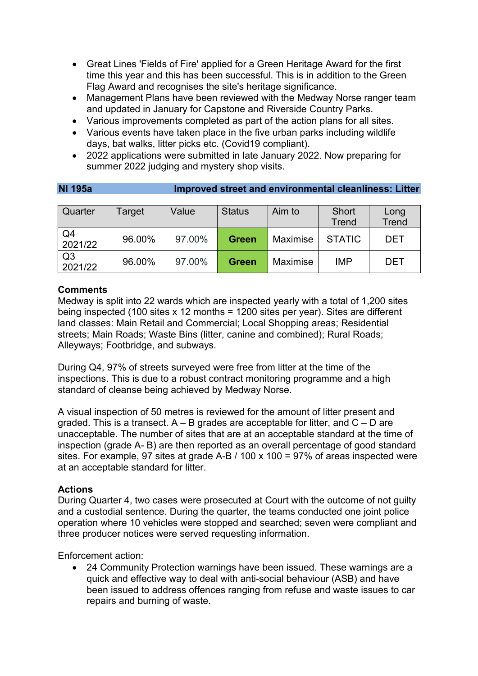- Great Lines 'Fields of Fire' applied for a Green Heritage Award for the first time this year and this has been successful. This is in addition to the Green Flag Award and recognises the site's heritage significance.
- Management Plans have been reviewed with the Medway Norse ranger team and updated in January for Capstone and Riverside Country Parks.
- Various improvements completed as part of the action plans for all sites.
- Various events have taken place in the five urban parks including wildlife days, bat walks, litter picks etc. (Covid19 compliant).
- 2022 applications were submitted in late January 2022. Now preparing for summer 2022 judging and mystery shop visits.

**NI 195a Improved street and environmental cleanliness: Litter**

| 111 I JULI     | MINIOVCU ƏLICCL QIND CITVILOMICILLAR CICQIMILCƏƏ, ENLCI |        |               |                 |               |              |  |  |  |  |  |
|----------------|---------------------------------------------------------|--------|---------------|-----------------|---------------|--------------|--|--|--|--|--|
|                |                                                         |        |               |                 |               |              |  |  |  |  |  |
| Quarter        | Target                                                  | Value  | <b>Status</b> | Aim to          | Short         | Long         |  |  |  |  |  |
|                |                                                         |        |               |                 | <b>Trend</b>  | <b>Trend</b> |  |  |  |  |  |
| Q4             | 96.00%                                                  | 97.00% | <b>Green</b>  | Maximise        | <b>STATIC</b> | <b>DET</b>   |  |  |  |  |  |
| 2021/22        |                                                         |        |               |                 |               |              |  |  |  |  |  |
| Q <sub>3</sub> | 96.00%                                                  | 97.00% | <b>Green</b>  | <b>Maximise</b> | <b>IMP</b>    | <b>DET</b>   |  |  |  |  |  |
| 2021/22        |                                                         |        |               |                 |               |              |  |  |  |  |  |

### **Comments**

Medway is split into 22 wards which are inspected yearly with a total of 1,200 sites being inspected (100 sites x 12 months = 1200 sites per year). Sites are different land classes: Main Retail and Commercial; Local Shopping areas; Residential streets; Main Roads; Waste Bins (litter, canine and combined); Rural Roads; Alleyways; Footbridge, and subways.

During Q4, 97% of streets surveyed were free from litter at the time of the inspections. This is due to a robust contract monitoring programme and a high standard of cleanse being achieved by Medway Norse.

A visual inspection of 50 metres is reviewed for the amount of litter present and graded. This is a transect.  $A - B$  grades are acceptable for litter, and  $C - D$  are unacceptable. The number of sites that are at an acceptable standard at the time of inspection (grade A- B) are then reported as an overall percentage of good standard sites. For example, 97 sites at grade A-B / 100 x 100 = 97% of areas inspected were at an acceptable standard for litter.

#### **Actions**

During Quarter 4, two cases were prosecuted at Court with the outcome of not guilty and a custodial sentence. During the quarter, the teams conducted one joint police operation where 10 vehicles were stopped and searched; seven were compliant and three producer notices were served requesting information.

Enforcement action:

• 24 Community Protection warnings have been issued. These warnings are a quick and effective way to deal with anti-social behaviour (ASB) and have been issued to address offences ranging from refuse and waste issues to car repairs and burning of waste.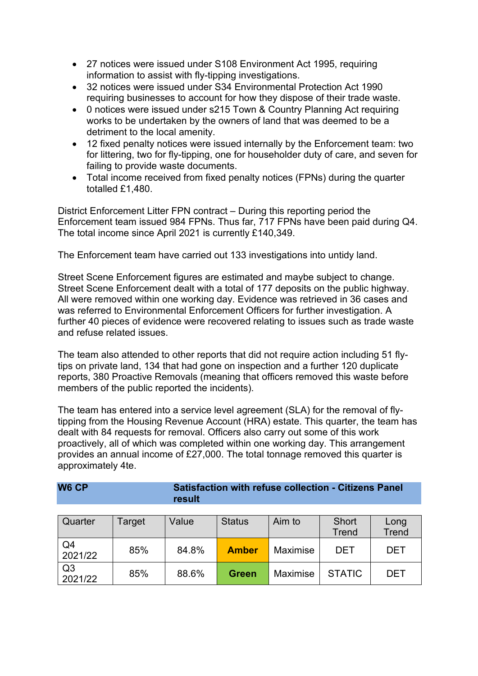- 27 notices were issued under S108 Environment Act 1995, requiring information to assist with fly-tipping investigations.
- 32 notices were issued under S34 Environmental Protection Act 1990 requiring businesses to account for how they dispose of their trade waste.
- 0 notices were issued under s215 Town & Country Planning Act requiring works to be undertaken by the owners of land that was deemed to be a detriment to the local amenity.
- 12 fixed penalty notices were issued internally by the Enforcement team: two for littering, two for fly-tipping, one for householder duty of care, and seven for failing to provide waste documents.
- Total income received from fixed penalty notices (FPNs) during the quarter totalled £1,480.

District Enforcement Litter FPN contract – During this reporting period the Enforcement team issued 984 FPNs. Thus far, 717 FPNs have been paid during Q4. The total income since April 2021 is currently £140,349.

The Enforcement team have carried out 133 investigations into untidy land.

Street Scene Enforcement figures are estimated and maybe subject to change. Street Scene Enforcement dealt with a total of 177 deposits on the public highway. All were removed within one working day. Evidence was retrieved in 36 cases and was referred to Environmental Enforcement Officers for further investigation. A further 40 pieces of evidence were recovered relating to issues such as trade waste and refuse related issues.

The team also attended to other reports that did not require action including 51 flytips on private land, 134 that had gone on inspection and a further 120 duplicate reports, 380 Proactive Removals (meaning that officers removed this waste before members of the public reported the incidents).

The team has entered into a service level agreement (SLA) for the removal of flytipping from the Housing Revenue Account (HRA) estate. This quarter, the team has dealt with 84 requests for removal. Officers also carry out some of this work proactively, all of which was completed within one working day. This arrangement provides an annual income of £27,000. The total tonnage removed this quarter is approximately 4te.

| W6 CP | <b>Satisfaction with refuse collection - Citizens Panel</b> |
|-------|-------------------------------------------------------------|
|       | result                                                      |

| Quarter                   | Target | Value | <b>Status</b> | Aim to          | <b>Short</b><br><b>Trend</b> | Long<br><b>Trend</b> |  |  |
|---------------------------|--------|-------|---------------|-----------------|------------------------------|----------------------|--|--|
| Q4<br>2021/22             | 85%    | 84.8% | <b>Amber</b>  | <b>Maximise</b> | DET                          | DET                  |  |  |
| Q <sub>3</sub><br>2021/22 | 85%    | 88.6% | <b>Green</b>  | <b>Maximise</b> | <b>STATIC</b>                | DET                  |  |  |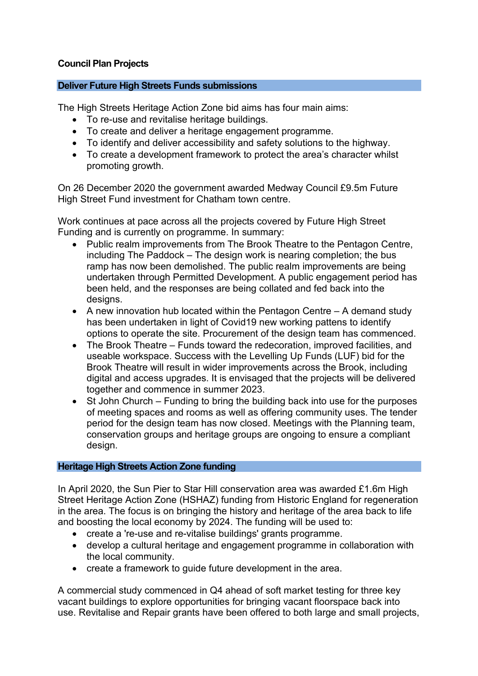### **Council Plan Projects**

#### **Deliver Future High Streets Funds submissions**

The High Streets Heritage Action Zone bid aims has four main aims:

- To re-use and revitalise heritage buildings.
- To create and deliver a heritage engagement programme.
- To identify and deliver accessibility and safety solutions to the highway.
- To create a development framework to protect the area's character whilst promoting growth.

On 26 December 2020 the government awarded Medway Council £9.5m Future High Street Fund investment for Chatham town centre.

Work continues at pace across all the projects covered by Future High Street Funding and is currently on programme. In summary:

- Public realm improvements from The Brook Theatre to the Pentagon Centre, including The Paddock – The design work is nearing completion; the bus ramp has now been demolished. The public realm improvements are being undertaken through Permitted Development. A public engagement period has been held, and the responses are being collated and fed back into the designs.
- A new innovation hub located within the Pentagon Centre A demand study has been undertaken in light of Covid19 new working pattens to identify options to operate the site. Procurement of the design team has commenced.
- The Brook Theatre Funds toward the redecoration, improved facilities, and useable workspace. Success with the Levelling Up Funds (LUF) bid for the Brook Theatre will result in wider improvements across the Brook, including digital and access upgrades. It is envisaged that the projects will be delivered together and commence in summer 2023.
- St John Church Funding to bring the building back into use for the purposes of meeting spaces and rooms as well as offering community uses. The tender period for the design team has now closed. Meetings with the Planning team, conservation groups and heritage groups are ongoing to ensure a compliant design.

#### **Heritage High Streets Action Zone funding**

In April 2020, the Sun Pier to Star Hill conservation area was awarded £1.6m High Street Heritage Action Zone (HSHAZ) funding from Historic England for regeneration in the area. The focus is on bringing the history and heritage of the area back to life and boosting the local economy by 2024. The funding will be used to:

- create a 're-use and re-vitalise buildings' grants programme.
- develop a cultural heritage and engagement programme in collaboration with the local community.
- create a framework to guide future development in the area.

A commercial study commenced in Q4 ahead of soft market testing for three key vacant buildings to explore opportunities for bringing vacant floorspace back into use. Revitalise and Repair grants have been offered to both large and small projects,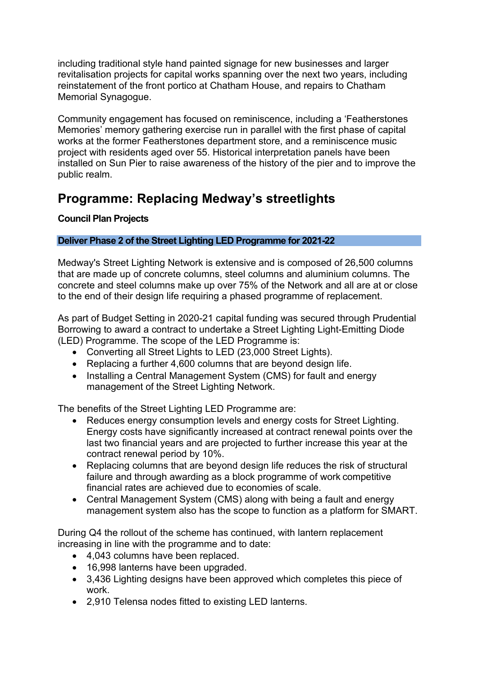including traditional style hand painted signage for new businesses and larger revitalisation projects for capital works spanning over the next two years, including reinstatement of the front portico at Chatham House, and repairs to Chatham Memorial Synagogue.

Community engagement has focused on reminiscence, including a 'Featherstones Memories' memory gathering exercise run in parallel with the first phase of capital works at the former Featherstones department store, and a reminiscence music project with residents aged over 55. Historical interpretation panels have been installed on Sun Pier to raise awareness of the history of the pier and to improve the public realm.

## **Programme: Replacing Medway's streetlights**

## **Council Plan Projects**

## **Deliver Phase 2 of the Street Lighting LED Programme for 2021-22**

Medway's Street Lighting Network is extensive and is composed of 26,500 columns that are made up of concrete columns, steel columns and aluminium columns. The concrete and steel columns make up over 75% of the Network and all are at or close to the end of their design life requiring a phased programme of replacement.

As part of Budget Setting in 2020-21 capital funding was secured through Prudential Borrowing to award a contract to undertake a Street Lighting Light-Emitting Diode (LED) Programme. The scope of the LED Programme is:

- Converting all Street Lights to LED (23,000 Street Lights).
- Replacing a further 4,600 columns that are beyond design life.
- Installing a Central Management System (CMS) for fault and energy management of the Street Lighting Network.

The benefits of the Street Lighting LED Programme are:

- Reduces energy consumption levels and energy costs for Street Lighting. Energy costs have significantly increased at contract renewal points over the last two financial years and are projected to further increase this year at the contract renewal period by 10%.
- Replacing columns that are beyond design life reduces the risk of structural failure and through awarding as a block programme of work competitive financial rates are achieved due to economies of scale.
- Central Management System (CMS) along with being a fault and energy management system also has the scope to function as a platform for SMART.

During Q4 the rollout of the scheme has continued, with lantern replacement increasing in line with the programme and to date:

- 4,043 columns have been replaced.
- 16,998 lanterns have been upgraded.
- 3,436 Lighting designs have been approved which completes this piece of work.
- 2,910 Telensa nodes fitted to existing LED lanterns.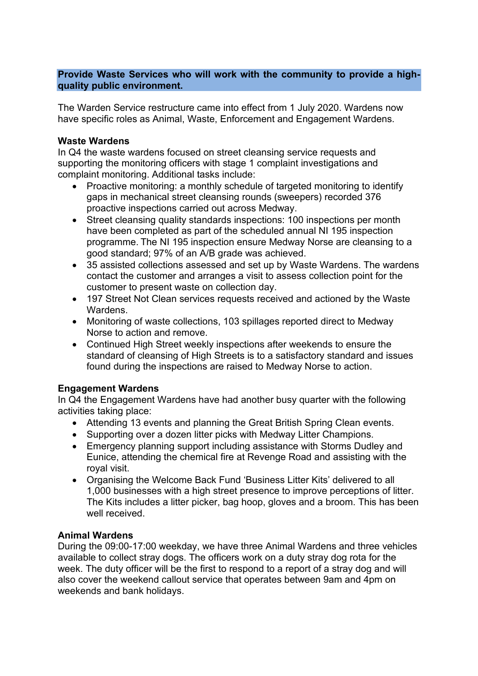#### **Provide Waste Services who will work with the community to provide a highquality public environment.**

The Warden Service restructure came into effect from 1 July 2020. Wardens now have specific roles as Animal, Waste, Enforcement and Engagement Wardens.

#### **Waste Wardens**

In Q4 the waste wardens focused on street cleansing service requests and supporting the monitoring officers with stage 1 complaint investigations and complaint monitoring. Additional tasks include:

- Proactive monitoring: a monthly schedule of targeted monitoring to identify gaps in mechanical street cleansing rounds (sweepers) recorded 376 proactive inspections carried out across Medway.
- Street cleansing quality standards inspections: 100 inspections per month have been completed as part of the scheduled annual NI 195 inspection programme. The NI 195 inspection ensure Medway Norse are cleansing to a good standard; 97% of an A/B grade was achieved.
- 35 assisted collections assessed and set up by Waste Wardens. The wardens contact the customer and arranges a visit to assess collection point for the customer to present waste on collection day.
- 197 Street Not Clean services requests received and actioned by the Waste **Wardens**
- Monitoring of waste collections, 103 spillages reported direct to Medway Norse to action and remove.
- Continued High Street weekly inspections after weekends to ensure the standard of cleansing of High Streets is to a satisfactory standard and issues found during the inspections are raised to Medway Norse to action.

#### **Engagement Wardens**

In Q4 the Engagement Wardens have had another busy quarter with the following activities taking place:

- Attending 13 events and planning the Great British Spring Clean events.
- Supporting over a dozen litter picks with Medway Litter Champions.
- Emergency planning support including assistance with Storms Dudley and Eunice, attending the chemical fire at Revenge Road and assisting with the royal visit.
- Organising the Welcome Back Fund 'Business Litter Kits' delivered to all 1,000 businesses with a high street presence to improve perceptions of litter. The Kits includes a litter picker, bag hoop, gloves and a broom. This has been well received.

#### **Animal Wardens**

During the 09:00-17:00 weekday, we have three Animal Wardens and three vehicles available to collect stray dogs. The officers work on a duty stray dog rota for the week. The duty officer will be the first to respond to a report of a stray dog and will also cover the weekend callout service that operates between 9am and 4pm on weekends and bank holidays.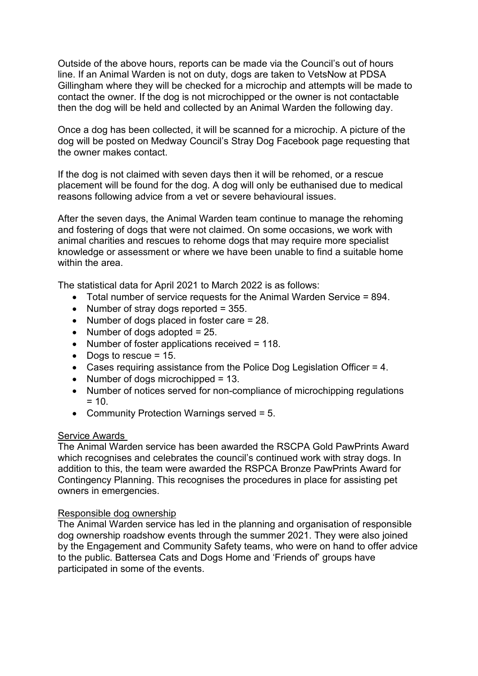Outside of the above hours, reports can be made via the Council's out of hours line. If an Animal Warden is not on duty, dogs are taken to VetsNow at PDSA Gillingham where they will be checked for a microchip and attempts will be made to contact the owner. If the dog is not microchipped or the owner is not contactable then the dog will be held and collected by an Animal Warden the following day.

Once a dog has been collected, it will be scanned for a microchip. A picture of the dog will be posted on Medway Council's Stray Dog Facebook page requesting that the owner makes contact.

If the dog is not claimed with seven days then it will be rehomed, or a rescue placement will be found for the dog. A dog will only be euthanised due to medical reasons following advice from a vet or severe behavioural issues.

After the seven days, the Animal Warden team continue to manage the rehoming and fostering of dogs that were not claimed. On some occasions, we work with animal charities and rescues to rehome dogs that may require more specialist knowledge or assessment or where we have been unable to find a suitable home within the area.

The statistical data for April 2021 to March 2022 is as follows:

- Total number of service requests for the Animal Warden Service = 894.
- Number of stray dogs reported = 355.
- Number of dogs placed in foster care = 28.
- Number of dogs adopted  $= 25$ .
- Number of foster applications received = 118.
- Dogs to rescue  $= 15$ .
- Cases requiring assistance from the Police Dog Legislation Officer = 4.
- Number of dogs microchipped  $= 13$ .
- Number of notices served for non-compliance of microchipping regulations  $= 10$ .
- Community Protection Warnings served = 5.

#### Service Awards

The Animal Warden service has been awarded the RSCPA Gold PawPrints Award which recognises and celebrates the council's continued work with stray dogs. In addition to this, the team were awarded the RSPCA Bronze PawPrints Award for Contingency Planning. This recognises the procedures in place for assisting pet owners in emergencies.

#### Responsible dog ownership

The Animal Warden service has led in the planning and organisation of responsible dog ownership roadshow events through the summer 2021. They were also joined by the Engagement and Community Safety teams, who were on hand to offer advice to the public. Battersea Cats and Dogs Home and 'Friends of' groups have participated in some of the events.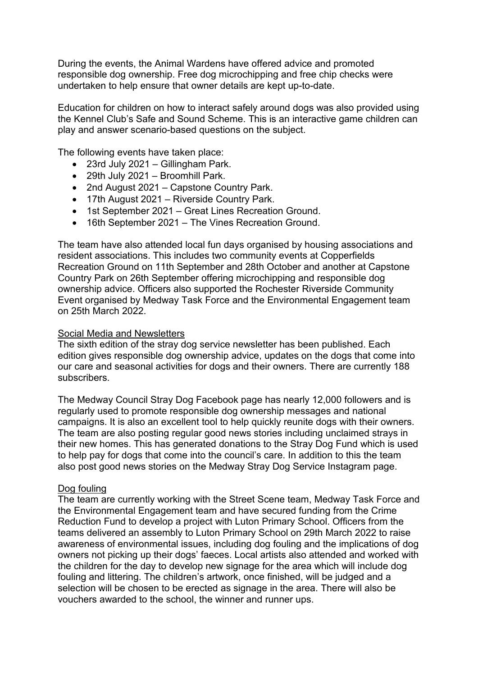During the events, the Animal Wardens have offered advice and promoted responsible dog ownership. Free dog microchipping and free chip checks were undertaken to help ensure that owner details are kept up-to-date.

Education for children on how to interact safely around dogs was also provided using the Kennel Club's Safe and Sound Scheme. This is an interactive game children can play and answer scenario-based questions on the subject.

The following events have taken place:

- 23rd July 2021 Gillingham Park.
- 29th July 2021 Broomhill Park.
- 2nd August 2021 Capstone Country Park.
- 17th August 2021 Riverside Country Park.
- 1st September 2021 Great Lines Recreation Ground.
- 16th September 2021 The Vines Recreation Ground.

The team have also attended local fun days organised by housing associations and resident associations. This includes two community events at Copperfields Recreation Ground on 11th September and 28th October and another at Capstone Country Park on 26th September offering microchipping and responsible dog ownership advice. Officers also supported the Rochester Riverside Community Event organised by Medway Task Force and the Environmental Engagement team on 25th March 2022.

#### Social Media and Newsletters

The sixth edition of the stray dog service newsletter has been published. Each edition gives responsible dog ownership advice, updates on the dogs that come into our care and seasonal activities for dogs and their owners. There are currently 188 subscribers.

The Medway Council Stray Dog Facebook page has nearly 12,000 followers and is regularly used to promote responsible dog ownership messages and national campaigns. It is also an excellent tool to help quickly reunite dogs with their owners. The team are also posting regular good news stories including unclaimed strays in their new homes. This has generated donations to the Stray Dog Fund which is used to help pay for dogs that come into the council's care. In addition to this the team also post good news stories on the Medway Stray Dog Service Instagram page.

#### Dog fouling

The team are currently working with the Street Scene team, Medway Task Force and the Environmental Engagement team and have secured funding from the Crime Reduction Fund to develop a project with Luton Primary School. Officers from the teams delivered an assembly to Luton Primary School on 29th March 2022 to raise awareness of environmental issues, including dog fouling and the implications of dog owners not picking up their dogs' faeces. Local artists also attended and worked with the children for the day to develop new signage for the area which will include dog fouling and littering. The children's artwork, once finished, will be judged and a selection will be chosen to be erected as signage in the area. There will also be vouchers awarded to the school, the winner and runner ups.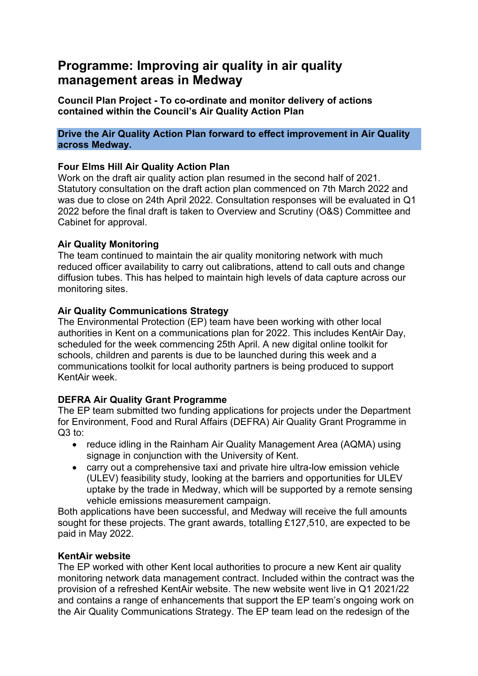## **Programme: Improving air quality in air quality management areas in Medway**

**Council Plan Project - To co-ordinate and monitor delivery of actions contained within the Council's Air Quality Action Plan**

#### **Drive the Air Quality Action Plan forward to effect improvement in Air Quality across Medway.**

### **Four Elms Hill Air Quality Action Plan**

Work on the draft air quality action plan resumed in the second half of 2021. Statutory consultation on the draft action plan commenced on 7th March 2022 and was due to close on 24th April 2022. Consultation responses will be evaluated in Q1 2022 before the final draft is taken to Overview and Scrutiny (O&S) Committee and Cabinet for approval.

### **Air Quality Monitoring**

The team continued to maintain the air quality monitoring network with much reduced officer availability to carry out calibrations, attend to call outs and change diffusion tubes. This has helped to maintain high levels of data capture across our monitoring sites.

#### **Air Quality Communications Strategy**

The Environmental Protection (EP) team have been working with other local authorities in Kent on a communications plan for 2022. This includes KentAir Day, scheduled for the week commencing 25th April. A new digital online toolkit for schools, children and parents is due to be launched during this week and a communications toolkit for local authority partners is being produced to support KentAir week.

### **DEFRA Air Quality Grant Programme**

The EP team submitted two funding applications for projects under the Department for Environment, Food and Rural Affairs (DEFRA) Air Quality Grant Programme in Q3 to:

- reduce idling in the Rainham Air Quality Management Area (AQMA) using signage in conjunction with the University of Kent.
- carry out a comprehensive taxi and private hire ultra-low emission vehicle (ULEV) feasibility study, looking at the barriers and opportunities for ULEV uptake by the trade in Medway, which will be supported by a remote sensing vehicle emissions measurement campaign.

Both applications have been successful, and Medway will receive the full amounts sought for these projects. The grant awards, totalling £127,510, are expected to be paid in May 2022.

#### **KentAir website**

The EP worked with other Kent local authorities to procure a new Kent air quality monitoring network data management contract. Included within the contract was the provision of a refreshed KentAir website. The new website went live in Q1 2021/22 and contains a range of enhancements that support the EP team's ongoing work on the Air Quality Communications Strategy. The EP team lead on the redesign of the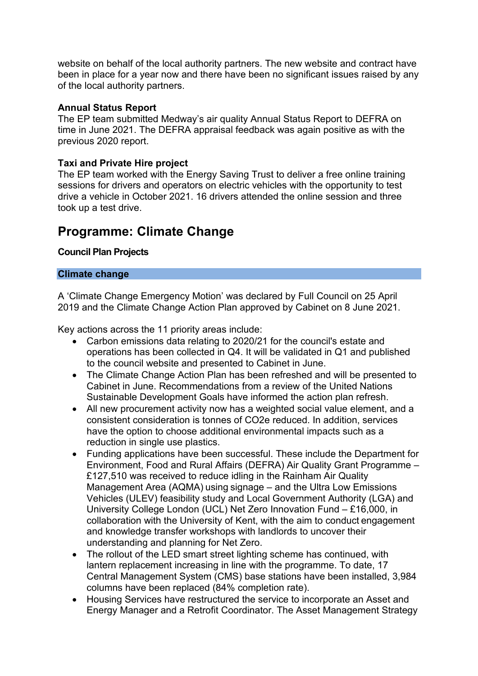website on behalf of the local authority partners. The new website and contract have been in place for a year now and there have been no significant issues raised by any of the local authority partners.

#### **Annual Status Report**

The EP team submitted Medway's air quality Annual Status Report to DEFRA on time in June 2021. The DEFRA appraisal feedback was again positive as with the previous 2020 report.

### **Taxi and Private Hire project**

The EP team worked with the Energy Saving Trust to deliver a free online training sessions for drivers and operators on electric vehicles with the opportunity to test drive a vehicle in October 2021. 16 drivers attended the online session and three took up a test drive.

## **Programme: Climate Change**

#### **Council Plan Projects**

#### **Climate change**

A 'Climate Change Emergency Motion' was declared by Full Council on 25 April 2019 and the Climate Change Action Plan approved by Cabinet on 8 June 2021.

Key actions across the 11 priority areas include:

- Carbon emissions data relating to 2020/21 for the council's estate and operations has been collected in Q4. It will be validated in Q1 and published to the council website and presented to Cabinet in June.
- The Climate Change Action Plan has been refreshed and will be presented to Cabinet in June. Recommendations from a review of the United Nations Sustainable Development Goals have informed the action plan refresh.
- All new procurement activity now has a weighted social value element, and a consistent consideration is tonnes of CO2e reduced. In addition, services have the option to choose additional environmental impacts such as a reduction in single use plastics.
- Funding applications have been successful. These include the Department for Environment, Food and Rural Affairs (DEFRA) Air Quality Grant Programme – £127,510 was received to reduce idling in the Rainham Air Quality Management Area (AQMA) using signage – and the Ultra Low Emissions Vehicles (ULEV) feasibility study and Local Government Authority (LGA) and University College London (UCL) Net Zero Innovation Fund – £16,000, in collaboration with the University of Kent, with the aim to conduct engagement and knowledge transfer workshops with landlords to uncover their understanding and planning for Net Zero.
- The rollout of the LED smart street lighting scheme has continued, with lantern replacement increasing in line with the programme. To date, 17 Central Management System (CMS) base stations have been installed, 3,984 columns have been replaced (84% completion rate).
- Housing Services have restructured the service to incorporate an Asset and Energy Manager and a Retrofit Coordinator. The Asset Management Strategy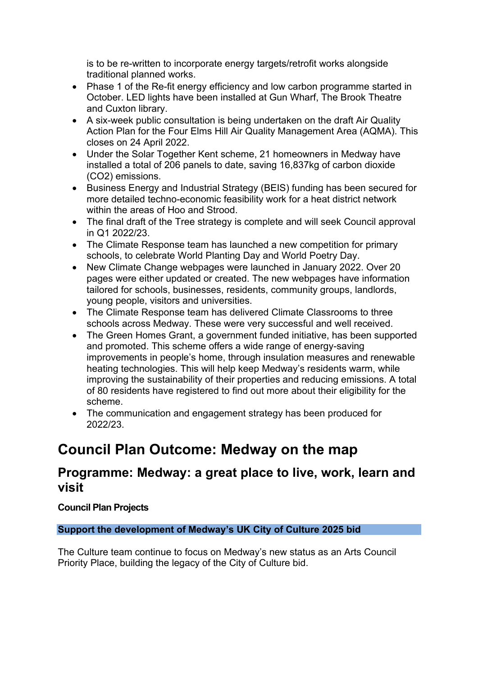is to be re-written to incorporate energy targets/retrofit works alongside traditional planned works.

- Phase 1 of the Re-fit energy efficiency and low carbon programme started in October. LED lights have been installed at Gun Wharf, The Brook Theatre and Cuxton library.
- A six-week public consultation is being undertaken on the draft Air Quality Action Plan for the Four Elms Hill Air Quality Management Area (AQMA). This closes on 24 April 2022.
- Under the Solar Together Kent scheme, 21 homeowners in Medway have installed a total of 206 panels to date, saving 16,837kg of carbon dioxide (CO2) emissions.
- Business Energy and Industrial Strategy (BEIS) funding has been secured for more detailed techno-economic feasibility work for a heat district network within the areas of Hoo and Strood.
- The final draft of the Tree strategy is complete and will seek Council approval in Q1 2022/23.
- The Climate Response team has launched a new competition for primary schools, to celebrate World Planting Day and World Poetry Day.
- New Climate Change webpages were launched in January 2022. Over 20 pages were either updated or created. The new webpages have information tailored for schools, businesses, residents, community groups, landlords, young people, visitors and universities.
- The Climate Response team has delivered Climate Classrooms to three schools across Medway. These were very successful and well received.
- The Green Homes Grant, a government funded initiative, has been supported and promoted. This scheme offers a wide range of energy-saving improvements in people's home, through insulation measures and renewable heating technologies. This will help keep Medway's residents warm, while improving the sustainability of their properties and reducing emissions. A total of 80 residents have registered to find out more about their eligibility for the scheme.
- The communication and engagement strategy has been produced for 2022/23.

## **Council Plan Outcome: Medway on the map**

## **Programme: Medway: a great place to live, work, learn and visit**

## **Council Plan Projects**

### **Support the development of Medway's UK City of Culture 2025 bid**

The Culture team continue to focus on Medway's new status as an Arts Council Priority Place, building the legacy of the City of Culture bid.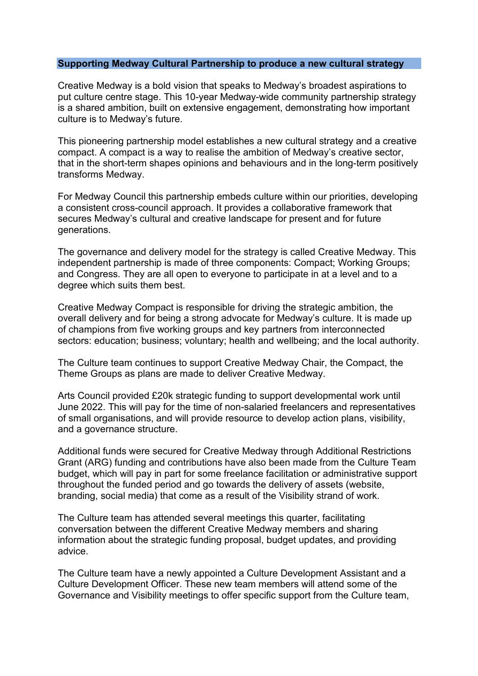#### **Supporting Medway Cultural Partnership to produce a new cultural strategy**

Creative Medway is a bold vision that speaks to Medway's broadest aspirations to put culture centre stage. This 10-year Medway-wide community partnership strategy is a shared ambition, built on extensive engagement, demonstrating how important culture is to Medway's future.

This pioneering partnership model establishes a new cultural strategy and a creative compact. A compact is a way to realise the ambition of Medway's creative sector, that in the short-term shapes opinions and behaviours and in the long-term positively transforms Medway.

For Medway Council this partnership embeds culture within our priorities, developing a consistent cross-council approach. It provides a collaborative framework that secures Medway's cultural and creative landscape for present and for future generations.

The governance and delivery model for the strategy is called Creative Medway. This independent partnership is made of three components: Compact; Working Groups; and Congress. They are all open to everyone to participate in at a level and to a degree which suits them best.

Creative Medway Compact is responsible for driving the strategic ambition, the overall delivery and for being a strong advocate for Medway's culture. It is made up of champions from five working groups and key partners from interconnected sectors: education; business; voluntary; health and wellbeing; and the local authority.

The Culture team continues to support Creative Medway Chair, the Compact, the Theme Groups as plans are made to deliver Creative Medway.

Arts Council provided £20k strategic funding to support developmental work until June 2022. This will pay for the time of non-salaried freelancers and representatives of small organisations, and will provide resource to develop action plans, visibility, and a governance structure.

Additional funds were secured for Creative Medway through Additional Restrictions Grant (ARG) funding and contributions have also been made from the Culture Team budget, which will pay in part for some freelance facilitation or administrative support throughout the funded period and go towards the delivery of assets (website, branding, social media) that come as a result of the Visibility strand of work.

The Culture team has attended several meetings this quarter, facilitating conversation between the different Creative Medway members and sharing information about the strategic funding proposal, budget updates, and providing advice.

The Culture team have a newly appointed a Culture Development Assistant and a Culture Development Officer. These new team members will attend some of the Governance and Visibility meetings to offer specific support from the Culture team,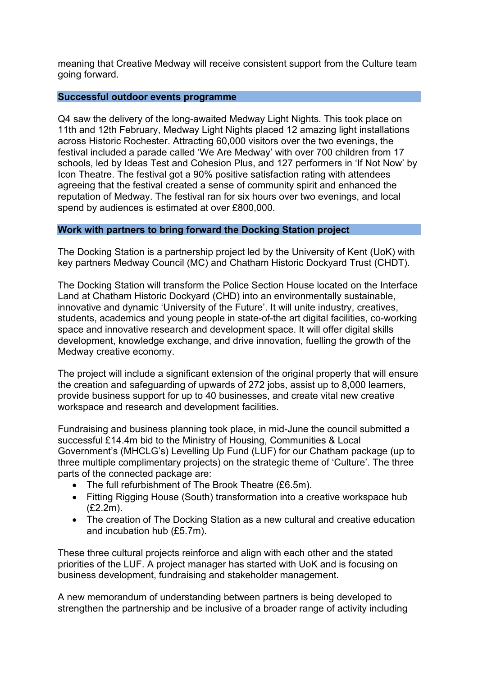meaning that Creative Medway will receive consistent support from the Culture team going forward.

#### **Successful outdoor events programme**

Q4 saw the delivery of the long-awaited Medway Light Nights. This took place on 11th and 12th February, Medway Light Nights placed 12 amazing light installations across Historic Rochester. Attracting 60,000 visitors over the two evenings, the festival included a parade called 'We Are Medway' with over 700 children from 17 schools, led by Ideas Test and Cohesion Plus, and 127 performers in 'If Not Now' by Icon Theatre. The festival got a 90% positive satisfaction rating with attendees agreeing that the festival created a sense of community spirit and enhanced the reputation of Medway. The festival ran for six hours over two evenings, and local spend by audiences is estimated at over £800,000.

#### **Work with partners to bring forward the Docking Station project**

The Docking Station is a partnership project led by the University of Kent (UoK) with key partners Medway Council (MC) and Chatham Historic Dockyard Trust (CHDT).

The Docking Station will transform the Police Section House located on the Interface Land at Chatham Historic Dockyard (CHD) into an environmentally sustainable, innovative and dynamic 'University of the Future'. It will unite industry, creatives, students, academics and young people in state-of-the art digital facilities, co-working space and innovative research and development space. It will offer digital skills development, knowledge exchange, and drive innovation, fuelling the growth of the Medway creative economy.

The project will include a significant extension of the original property that will ensure the creation and safeguarding of upwards of 272 jobs, assist up to 8,000 learners, provide business support for up to 40 businesses, and create vital new creative workspace and research and development facilities.

Fundraising and business planning took place, in mid-June the council submitted a successful £14.4m bid to the Ministry of Housing, Communities & Local Government's (MHCLG's) Levelling Up Fund (LUF) for our Chatham package (up to three multiple complimentary projects) on the strategic theme of 'Culture'. The three parts of the connected package are:

- The full refurbishment of The Brook Theatre (£6.5m).
- Fitting Rigging House (South) transformation into a creative workspace hub (£2.2m).
- The creation of The Docking Station as a new cultural and creative education and incubation hub (£5.7m).

These three cultural projects reinforce and align with each other and the stated priorities of the LUF. A project manager has started with UoK and is focusing on business development, fundraising and stakeholder management.

A new memorandum of understanding between partners is being developed to strengthen the partnership and be inclusive of a broader range of activity including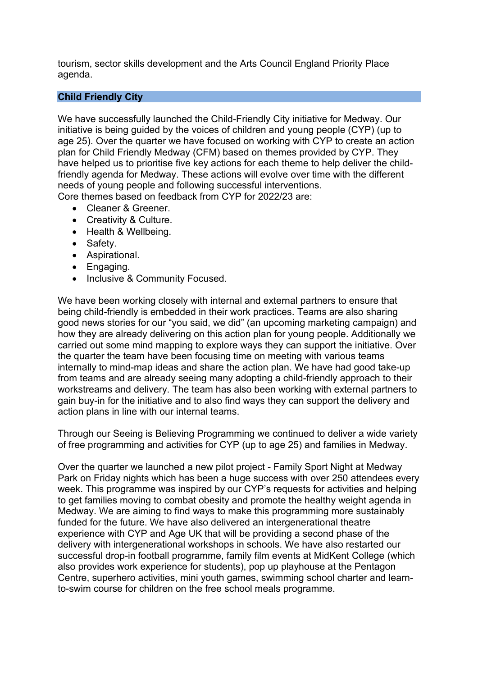tourism, sector skills development and the Arts Council England Priority Place agenda.

#### **Child Friendly City**

We have successfully launched the Child-Friendly City initiative for Medway. Our initiative is being guided by the voices of children and young people (CYP) (up to age 25). Over the quarter we have focused on working with CYP to create an action plan for Child Friendly Medway (CFM) based on themes provided by CYP. They have helped us to prioritise five key actions for each theme to help deliver the childfriendly agenda for Medway. These actions will evolve over time with the different needs of young people and following successful interventions.

Core themes based on feedback from CYP for 2022/23 are:

- Cleaner & Greener.
- Creativity & Culture.
- Health & Wellbeing.
- Safety.
- Aspirational.
- Engaging.
- Inclusive & Community Focused.

We have been working closely with internal and external partners to ensure that being child-friendly is embedded in their work practices. Teams are also sharing good news stories for our "you said, we did" (an upcoming marketing campaign) and how they are already delivering on this action plan for young people. Additionally we carried out some mind mapping to explore ways they can support the initiative. Over the quarter the team have been focusing time on meeting with various teams internally to mind-map ideas and share the action plan. We have had good take-up from teams and are already seeing many adopting a child-friendly approach to their workstreams and delivery. The team has also been working with external partners to gain buy-in for the initiative and to also find ways they can support the delivery and action plans in line with our internal teams.

Through our Seeing is Believing Programming we continued to deliver a wide variety of free programming and activities for CYP (up to age 25) and families in Medway.

Over the quarter we launched a new pilot project - Family Sport Night at Medway Park on Friday nights which has been a huge success with over 250 attendees every week. This programme was inspired by our CYP's requests for activities and helping to get families moving to combat obesity and promote the healthy weight agenda in Medway. We are aiming to find ways to make this programming more sustainably funded for the future. We have also delivered an intergenerational theatre experience with CYP and Age UK that will be providing a second phase of the delivery with intergenerational workshops in schools. We have also restarted our successful drop-in football programme, family film events at MidKent College (which also provides work experience for students), pop up playhouse at the Pentagon Centre, superhero activities, mini youth games, swimming school charter and learnto-swim course for children on the free school meals programme.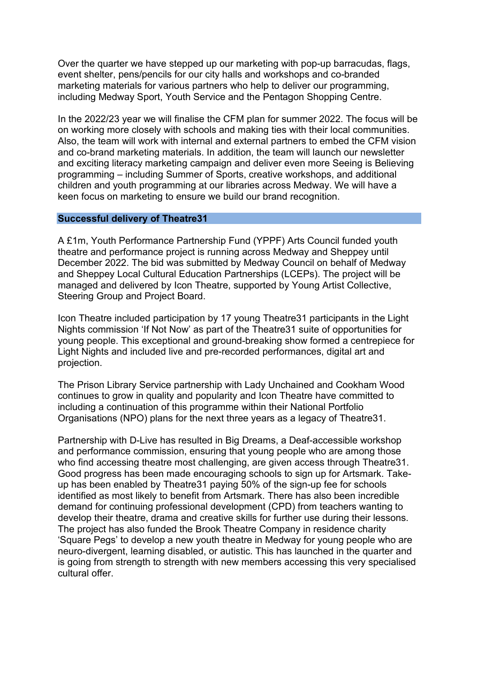Over the quarter we have stepped up our marketing with pop-up barracudas, flags, event shelter, pens/pencils for our city halls and workshops and co-branded marketing materials for various partners who help to deliver our programming, including Medway Sport, Youth Service and the Pentagon Shopping Centre.

In the 2022/23 year we will finalise the CFM plan for summer 2022. The focus will be on working more closely with schools and making ties with their local communities. Also, the team will work with internal and external partners to embed the CFM vision and co-brand marketing materials. In addition, the team will launch our newsletter and exciting literacy marketing campaign and deliver even more Seeing is Believing programming – including Summer of Sports, creative workshops, and additional children and youth programming at our libraries across Medway. We will have a keen focus on marketing to ensure we build our brand recognition.

#### **Successful delivery of Theatre31**

A £1m, Youth Performance Partnership Fund (YPPF) Arts Council funded youth theatre and performance project is running across Medway and Sheppey until December 2022. The bid was submitted by Medway Council on behalf of Medway and Sheppey Local Cultural Education Partnerships (LCEPs). The project will be managed and delivered by Icon Theatre, supported by Young Artist Collective, Steering Group and Project Board.

Icon Theatre included participation by 17 young Theatre31 participants in the Light Nights commission 'If Not Now' as part of the Theatre31 suite of opportunities for young people. This exceptional and ground-breaking show formed a centrepiece for Light Nights and included live and pre-recorded performances, digital art and projection.

The Prison Library Service partnership with Lady Unchained and Cookham Wood continues to grow in quality and popularity and Icon Theatre have committed to including a continuation of this programme within their National Portfolio Organisations (NPO) plans for the next three years as a legacy of Theatre31.

Partnership with D-Live has resulted in Big Dreams, a Deaf-accessible workshop and performance commission, ensuring that young people who are among those who find accessing theatre most challenging, are given access through Theatre31. Good progress has been made encouraging schools to sign up for Artsmark. Takeup has been enabled by Theatre31 paying 50% of the sign-up fee for schools identified as most likely to benefit from Artsmark. There has also been incredible demand for continuing professional development (CPD) from teachers wanting to develop their theatre, drama and creative skills for further use during their lessons. The project has also funded the Brook Theatre Company in residence charity 'Square Pegs' to develop a new youth theatre in Medway for young people who are neuro-divergent, learning disabled, or autistic. This has launched in the quarter and is going from strength to strength with new members accessing this very specialised cultural offer.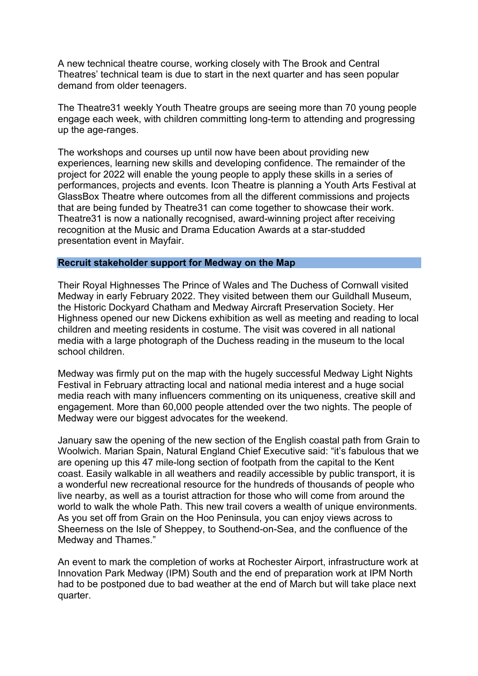A new technical theatre course, working closely with The Brook and Central Theatres' technical team is due to start in the next quarter and has seen popular demand from older teenagers.

The Theatre31 weekly Youth Theatre groups are seeing more than 70 young people engage each week, with children committing long-term to attending and progressing up the age-ranges.

The workshops and courses up until now have been about providing new experiences, learning new skills and developing confidence. The remainder of the project for 2022 will enable the young people to apply these skills in a series of performances, projects and events. Icon Theatre is planning a Youth Arts Festival at GlassBox Theatre where outcomes from all the different commissions and projects that are being funded by Theatre31 can come together to showcase their work. Theatre31 is now a nationally recognised, award-winning project after receiving recognition at the Music and Drama Education Awards at a star-studded presentation event in Mayfair.

#### **Recruit stakeholder support for Medway on the Map**

Their Royal Highnesses The Prince of Wales and The Duchess of Cornwall visited Medway in early February 2022. They visited between them our Guildhall Museum, the Historic Dockyard Chatham and Medway Aircraft Preservation Society. Her Highness opened our new Dickens exhibition as well as meeting and reading to local children and meeting residents in costume. The visit was covered in all national media with a large photograph of the Duchess reading in the museum to the local school children.

Medway was firmly put on the map with the hugely successful Medway Light Nights Festival in February attracting local and national media interest and a huge social media reach with many influencers commenting on its uniqueness, creative skill and engagement. More than 60,000 people attended over the two nights. The people of Medway were our biggest advocates for the weekend.

January saw the opening of the new section of the English coastal path from Grain to Woolwich. Marian Spain, Natural England Chief Executive said: "it's fabulous that we are opening up this 47 mile-long section of footpath from the capital to the Kent coast. Easily walkable in all weathers and readily accessible by public transport, it is a wonderful new recreational resource for the hundreds of thousands of people who live nearby, as well as a tourist attraction for those who will come from around the world to walk the whole Path. This new trail covers a wealth of unique environments. As you set off from Grain on the Hoo Peninsula, you can enjoy views across to Sheerness on the Isle of Sheppey, to Southend-on-Sea, and the confluence of the Medway and Thames."

An event to mark the completion of works at Rochester Airport, infrastructure work at Innovation Park Medway (IPM) South and the end of preparation work at IPM North had to be postponed due to bad weather at the end of March but will take place next quarter.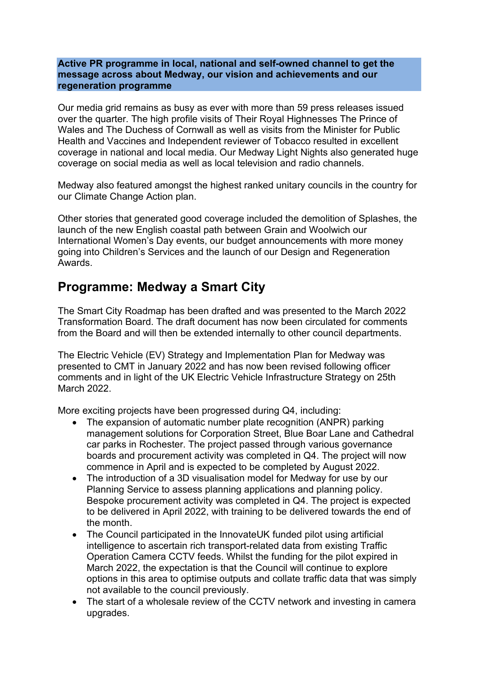#### **Active PR programme in local, national and self-owned channel to get the message across about Medway, our vision and achievements and our regeneration programme**

Our media grid remains as busy as ever with more than 59 press releases issued over the quarter. The high profile visits of Their Royal Highnesses The Prince of Wales and The Duchess of Cornwall as well as visits from the Minister for Public Health and Vaccines and Independent reviewer of Tobacco resulted in excellent coverage in national and local media. Our Medway Light Nights also generated huge coverage on social media as well as local television and radio channels.

Medway also featured amongst the highest ranked unitary councils in the country for our Climate Change Action plan.

Other stories that generated good coverage included the demolition of Splashes, the launch of the new English coastal path between Grain and Woolwich our International Women's Day events, our budget announcements with more money going into Children's Services and the launch of our Design and Regeneration Awards.

## **Programme: Medway a Smart City**

The Smart City Roadmap has been drafted and was presented to the March 2022 Transformation Board. The draft document has now been circulated for comments from the Board and will then be extended internally to other council departments.

The Electric Vehicle (EV) Strategy and Implementation Plan for Medway was presented to CMT in January 2022 and has now been revised following officer comments and in light of the UK Electric Vehicle Infrastructure Strategy on 25th March 2022.

More exciting projects have been progressed during Q4, including:

- The expansion of automatic number plate recognition (ANPR) parking management solutions for Corporation Street, Blue Boar Lane and Cathedral car parks in Rochester. The project passed through various governance boards and procurement activity was completed in Q4. The project will now commence in April and is expected to be completed by August 2022.
- The introduction of a 3D visualisation model for Medway for use by our Planning Service to assess planning applications and planning policy. Bespoke procurement activity was completed in Q4. The project is expected to be delivered in April 2022, with training to be delivered towards the end of the month.
- The Council participated in the InnovateUK funded pilot using artificial intelligence to ascertain rich transport-related data from existing Traffic Operation Camera CCTV feeds. Whilst the funding for the pilot expired in March 2022, the expectation is that the Council will continue to explore options in this area to optimise outputs and collate traffic data that was simply not available to the council previously.
- The start of a wholesale review of the CCTV network and investing in camera upgrades.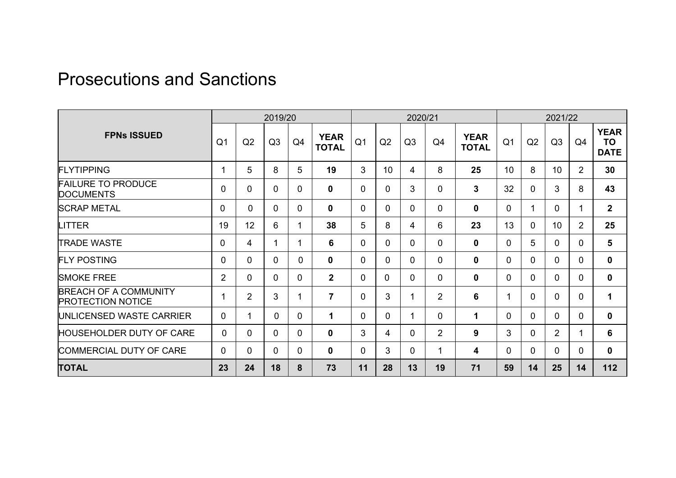# Prosecutions and Sanctions

|                                                          | 2019/20        |                |              |             | 2020/21                     |                |              |                |                | 2021/22                     |                |                |                |                |                                  |
|----------------------------------------------------------|----------------|----------------|--------------|-------------|-----------------------------|----------------|--------------|----------------|----------------|-----------------------------|----------------|----------------|----------------|----------------|----------------------------------|
| <b>FPNs ISSUED</b>                                       | Q <sub>1</sub> | Q2             | Q3           | Q4          | <b>YEAR</b><br><b>TOTAL</b> | Q <sub>1</sub> | Q2           | Q3             | Q4             | <b>YEAR</b><br><b>TOTAL</b> | Q <sub>1</sub> | Q2             | Q3             | Q <sub>4</sub> | <b>YEAR</b><br>TO<br><b>DATE</b> |
| <b>FLYTIPPING</b>                                        |                | 5              | 8            | 5           | 19                          | 3              | 10           | 4              | 8              | 25                          | 10             | 8              | 10             | $\overline{2}$ | 30                               |
| <b>FAILURE TO PRODUCE</b><br><b>DOCUMENTS</b>            | 0              | $\mathbf 0$    | $\mathbf{0}$ | 0           | $\mathbf 0$                 | 0              | 0            | 3              | 0              | 3                           | 32             | $\mathbf 0$    | 3              | 8              | 43                               |
| <b>SCRAP METAL</b>                                       | $\mathbf 0$    | $\mathbf 0$    | $\mathbf 0$  | 0           | $\mathbf 0$                 | 0              | $\mathbf 0$  | $\mathbf 0$    | 0              | $\mathbf 0$                 | $\mathbf 0$    | $\mathbf 1$    | $\overline{0}$ | 1              | $\mathbf{2}$                     |
| <b>LITTER</b>                                            | 19             | 12             | 6            | 1           | 38                          | 5              | 8            | 4              | 6              | 23                          | 13             | $\mathbf 0$    | 10             | $\overline{2}$ | 25                               |
| <b>TRADE WASTE</b>                                       | $\mathbf 0$    | 4              |              |             | 6                           | 0              | $\Omega$     | $\overline{0}$ | 0              | 0                           | $\Omega$       | 5              | $\Omega$       | $\Omega$       | 5                                |
| <b>FLY POSTING</b>                                       | $\Omega$       | $\mathbf{0}$   | $\mathbf{0}$ | 0           | $\mathbf{0}$                | $\Omega$       | $\Omega$     | $\mathbf{0}$   | $\Omega$       | 0                           | $\Omega$       | $\mathbf 0$    | $\overline{0}$ | $\overline{0}$ | $\mathbf 0$                      |
| <b>SMOKE FREE</b>                                        | $\overline{2}$ | $\mathbf 0$    | $\mathbf{0}$ | 0           | $\overline{2}$              | 0              | $\mathbf{0}$ | $\mathbf 0$    | 0              | 0                           | $\mathbf 0$    | $\mathbf 0$    | $\overline{0}$ | $\Omega$       | $\mathbf 0$                      |
| <b>BREACH OF A COMMUNITY</b><br><b>PROTECTION NOTICE</b> |                | $\overline{2}$ | 3            |             | $\overline{7}$              | 0              | 3            | 1              | $\overline{2}$ | 6                           |                | $\mathbf 0$    | $\Omega$       | $\Omega$       | $\mathbf{1}$                     |
| UNLICENSED WASTE CARRIER                                 | $\overline{0}$ | 1              | 0            | $\mathbf 0$ | $\mathbf 1$                 | 0              | $\mathbf 0$  | 1              | 0              | 1                           | 0              | $\mathbf 0$    | $\Omega$       | $\Omega$       | $\mathbf 0$                      |
| <b>HOUSEHOLDER DUTY OF CARE</b>                          | 0              | $\Omega$       | $\Omega$     | $\Omega$    | $\bf{0}$                    | 3              | 4            | $\Omega$       | $\overline{2}$ | 9                           | 3              | $\overline{0}$ | $\overline{2}$ | 1              | 6                                |
| COMMERCIAL DUTY OF CARE                                  | 0              | $\Omega$       | $\mathbf{0}$ | $\Omega$    | $\mathbf 0$                 | 0              | 3            | $\overline{0}$ | $\mathbf 1$    | 4                           | $\Omega$       | $\mathbf 0$    | $\overline{0}$ | $\Omega$       | $\mathbf 0$                      |
| <b>TOTAL</b>                                             | 23             | 24             | 18           | 8           | 73                          | 11             | 28           | 13             | 19             | 71                          | 59             | 14             | 25             | 14             | 112                              |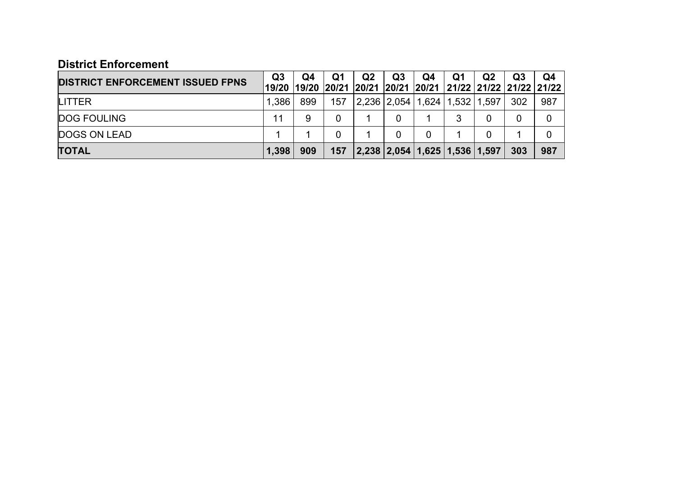| <b>District Enforcement</b>             |                         |             |             |       |       |                               |       |                |                                                            |     |
|-----------------------------------------|-------------------------|-------------|-------------|-------|-------|-------------------------------|-------|----------------|------------------------------------------------------------|-----|
| <b>DISTRICT ENFORCEMENT ISSUED FPNS</b> | Q <sub>3</sub><br>19/20 | Q4<br>19/20 | Q1<br>20/21 | Q2    | Q3    | Q4                            | Q1    | Q <sub>2</sub> | Q3<br> 20/21  20/21  20/21   21/22   21/22   21/22   21/22 | Q4  |
| LITTER                                  | 1,386                   | 899         | 157         | 2,236 | 2,054 | 1,624                         | 1,532 | 1,597          | 302                                                        | 987 |
| <b>DOG FOULING</b>                      | 11                      | 9           | 0           |       |       |                               | 3     | 0              | 0                                                          |     |
| <b>DOGS ON LEAD</b>                     |                         |             | 0           |       |       | 0                             |       | 0              |                                                            |     |
| <b>TOTAL</b>                            | 1,398                   | 909         | 157         |       |       | 2,238 2,054 1,625 1,536 1,597 |       |                | 303                                                        | 987 |